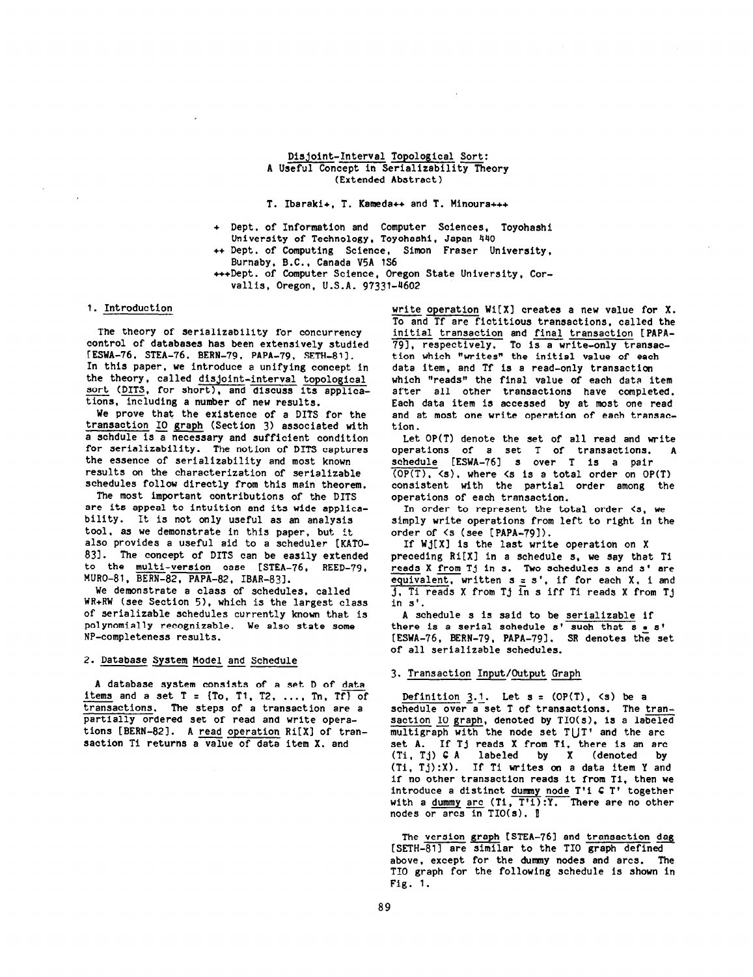#### Disjoint-Interval Topological Sort: A Useful Concept in Serializability Theory (Extended Abstract)

#### T. Ibaraki+. T. Kameda++ and T. Hinoura+++

- + Dept. of Information and Computer Sciences, Toyohashi University of Technology, Toyohashi, Japan 440
- ++ Dept. of Computing Science, Simon Fraser University, Burnaby, B.C., Canada V5A lS6
- +++Dept . of Computer Science, Oregon State University, Corvallis, Oregon, U.S.A. 97331-4602

### 1. Introduction

The theory of serializability for concurrency control of databases has been extensively studied [ESWA-76, STEA-76, BERN-79, PAPA-79, SETH-81]. In this paper, we introduce a unifying concept in the theory, called <u>disjoint-interval topologi</u>c sort (DITS, for short), and discuss its applic<br>hine -- dealuding a number of any manufacture tions, including a number of new results.

We prove that the existence of a DITS for the transaction IO graph (Section 3) associated with a schdule is a necessary and sufficient condition for serializability. The notion of DITS captures the essence of serializability and most known results on the characterization of serializable schedules follow directly from this main theorem.

The most important contributions of the DITS are its appeal to intuition and its wide applicability. It is not only useful as an analysis tool, as we demonstrate in this paper, but it also provides a useful aid to a scheduler [KATO-831. The concept of DITS can be easily extended to the <u>multi-version</u> case [STEA-76, REED-79, MURO-81, BERN-82, PAPA-82, IBAR-83].

We demonstrate a class of schedules, called WR+RW (see Section 5), which is the largest class of serializable schedules currently known that is polynomially recognizable. We also state some NP-completeness results.

# 2. <u>Database System Model</u> and Schedule

A database system consists of a set D of data items and a set  $T = \{To, T1, T2, ..., In, TF\}$  of transactions. The steps of a transaction are a partially ordered set of read and write operations [BERN-82]. A read operation Ri[X] of transaction Ti returns a value of data item X. and

write operation  $Wi[X]$  creates a new value for X. To and Tf are fictitious transactions, called the initial transaction and final transaction [PAPA-79], respectively. To is a write-only transa tion which "writes" the initial value of each data item, and Tf is a read-only transaction which "reads" the final value of each data item after all other transactions have completed. Each data item is accessed by at most one read and at most one write operation of each transaction.

Let OP(T) denote the set of all read and write operations of a set T of transactions. A schedule [ESWA-761 s over T is a pair  $\overline{OPT}$ ,  $\langle s \rangle$ , where  $\langle s$  is a total order on OP(T) consistent with the partial order among the operations of each transaction.

In order to represent the total order  $\langle s, w \rangle$ simply write operations from left to right in the order of <s (see [PAPA-791).

If  $Wj[X]$  is the last write operation on X preceding Ri[X] in a schedule s, we say that Ti reads X from Tj in s. Two schedules s and s' are  $\frac{1}{2}$  and  $\frac{1}{2}$  in s. The schedules s and s are equivalent, written  $s = s'$ , if for each X, i and j, Ti reads X from Tj in s iff Ti reads X from Tj in 5'.

A schedule s is said to be serializable if there is a serial schedule s' such that s = s' [ESWA-76, BERN-79, PAPA-791. SR denotes the set of all serializable schedules.

### 3. Transaction Input/Output Graph

Definition  $3.1$ . Let  $s = (OP(T), \le s)$  be a schedule over<sup>-</sup>a-set T of transactions. The transaction IO graph, denoted by TIO(s), is a labeled multigraph with the node set TUT' and the arc set A. If Tj reads X from Ti, there is an arc (Ti, Tj) C A labeled by X (denoted by (Ti, Tj):X). If Ti writes on a data item Y and if no other transaction reads it from Ti. then we introduce a distinct <u>dummy node</u> T'i <del>C</del> T' togeth with a <u>dummy arc</u> (Ti, T'i):Y. There are no other nodes or arcs in  $TIO(s)$ .  $\mathbb{I}$ 

The version graph [STEA-76] and transaction dag  $[SETH-81]$  are similar to the TIO graph defined above, except for the dummy nodes and arcs. The TIO graph for the following schedule is shown in Fig. 1.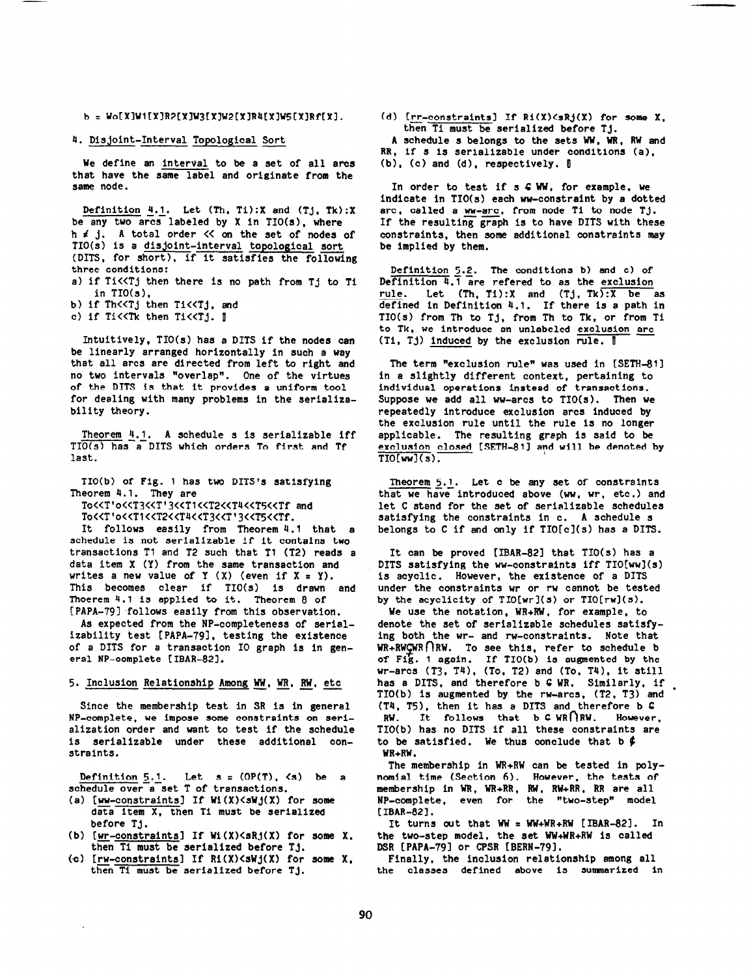$b = Wo[X]W1[X]R2[X]W3[X]W2[X]R4[X]W5[X]Rf[X]$ .

### 4. Disjoint-Interval Topological Sort

We define an Interval to be a set of all arcs that have the same label and originate from the same node.

Definition  $4.1$ . Let (Th, Ti):X and (Tj, Tk):X be any two arcs labeled by X in TIO(s), where h i j. A total order << on the set of nodes of TIO(s) is a disjoint-interval topological sort (DITS, for short), if it satisfies the following three conditions: a) if Ti<<Tj then there is no path from Tj to Ti in TIO(s),

b) if Th<<Tj then Ti<<Tj, and

c) if Ti<<Tk then Ti<<Tj. 1

Intuitively, TIO(s) has a DITS if the nodes can be linearly arranged horizontally in such a way that all arcs are directed from left to right and no two intervals "overlap". One of the virtues of the DITS is that it provides a uniform tool for dealing with many problems in the serializability theory.

Theorem  $4.1$ . A schedule s is serializable iff TIO(s) has a DITS which orders To first and Tf last.

TIO(b) of Fig. 1 has two DITS's satisfying Theorem 4.1. They are

To<<T'o<<T3<<T'3<<T'<<TT<<TT<<<TF and To<<T10<<T1<<T2<<T4<<T3<<T'3<<T5<<Tf.

It follows easily from Theorem 4.1 that a schedule is not serializable if it contains two transactions Tl and T2 such that Tl (T2) reads a data item X (Y) from the same transaction and writes a new value of  $Y(X)$  (even if  $X = Y$ ). This becomes clear if TIO(s) Is drawn and Thoerem 4.1 is applied to it. Theorem 8 of [PAPA-791 follows easily from this observation.

As expected from the NP-completeness of serlalixability test [PAPA-781. testing the existence of a DITS for a transaction IO graph is in general NP-complete [IBAR-821.

## 5. Inclusion Relationship Among WW, WR, RW, etc

Since the membership test in SR is in general NP-complete, we impose some constraints on serialization order and want to test if the schedule is serializable under these additional constraints.

Definition  $5.1$ . Let  $s = (OP(T), \langle s \rangle)$  be a schedule over a set T of transactions.

- (a) [ww-constraints] If Wi $(X)$ <sWj $(X)$  for some data item X, then Tl must be serialized before Ti.
- (b) [<u>wr-constraints</u>] If Wi(X)<sRj(X) for some X. then Ti must be serialized before Tj.
- (c) [rw-constraints] If  $Ri(X) \leq Nj(X)$  for some X, then  $Ti$  must be serialized before  $T_i$ .

(d) [rr-constraints] If  $Ri(X)$  <sampling  $X$ , then Ti must be serialized before Tj.

A schedule s belongs to the sets WW. WR, RW and RR, if s is serializable under conditions (a).  $(b)$ ,  $(c)$  and  $(d)$ , respectively.  $[$ 

In order to test if s C WW, for example, we indicate in  $TIO(s)$  each ww-constraint by a dotted arc, called a  $ww-arc$ , from node Ti to node Tj. If the resulting graph is to have DITS with these constraints, then some additional constraints may be implied by them.

Definition 5.2. The conditions b) and c) of Definition 4.7 are refered to as the exclusion rule. Let (Th, Ti):X and (Tj, Tk):X be as defined in Definition 4.1. If there is a path in TIO(s) from Th to Tj, from Th to Tk. or from Ti to Tk, we introduce an unlabeled exclusion arc (Ti, Tj) induced by the exclusion  $rule.$   $|$ 

The term \*exclusion rule" was used in [SETH-811 in a slightly different context, pertaining to individual operations instead of transactions. Suppose we add all ww-arcs to TIO(s). Then we repeatedly introduce exclusion arcs induced by the exclusion rule until the rule is no longer applicable. The resulting graph is said to be exclusion closed [SETH-811 and will be denoted by  $\overline{TIO[ww](s)}$ .

 $Theorem 5.1. Let c be any set of constraint$ </u> that we have introduced above (ww, wr, etc .) and let C stand for the set of serializable schedules satisfying the constraints in c. A schedule s belongs to C if and only if  $TIO[c](s)$  has a DITS.

It can be proved [IBAR-82] that  $TIO(s)$  has a DITS satisfying the ww-constraints iff  $TIO[ww](s)$ is acyclic. However, the existence of a DITS under the constraints wr or rw cannot be tested by the acyclicity of  $TIO[wr](s)$  or  $TIO[rw](s)$ .

We use the notation, WR+RW, for example, to denote the set of serializable schedules satlsfying both the wr- and rw-constraints. Note that  $WR+RWQWR\cap RW.$  To see this, refer to schedule b of Fig. 1 again. If TIO(b) is augmented by the wr-arcs (T3, T4), (To, T2) and (To, T4), it sti has a DITS. and therefore b C WR. Similarly, If nas a DITS, and therefore b 6 WK. Similarly, if<br>TIO(b) is augmented by the rw-arcs, (T2, T3) and (T4, T5), then it has a DITS and therefore  $b$  C  $RW.$  It follows that  $b \in WR$   $\mid$   $RW.$  However, TIO(b) has no DITS if all these constraints are to be satisfied. We thus conclude that b  $\oint$ WR+RW.

The membership in WR+RW can be tested in polynomial time (Section 6). However, the tests of membership in WR, WR+RR, RW, RW+RR, RR are all NP-complete, even for the "two-step" model [IBAR-82].

It turns out that  $WW = WW+WR+RW$  [IBAR-82]. In the two-step model, the set WW+WR+RW is called DSR [PAPA-79] or CPSR [BERN-79].

Finally, the inclusion relationship among all the classes defined above is summarized in